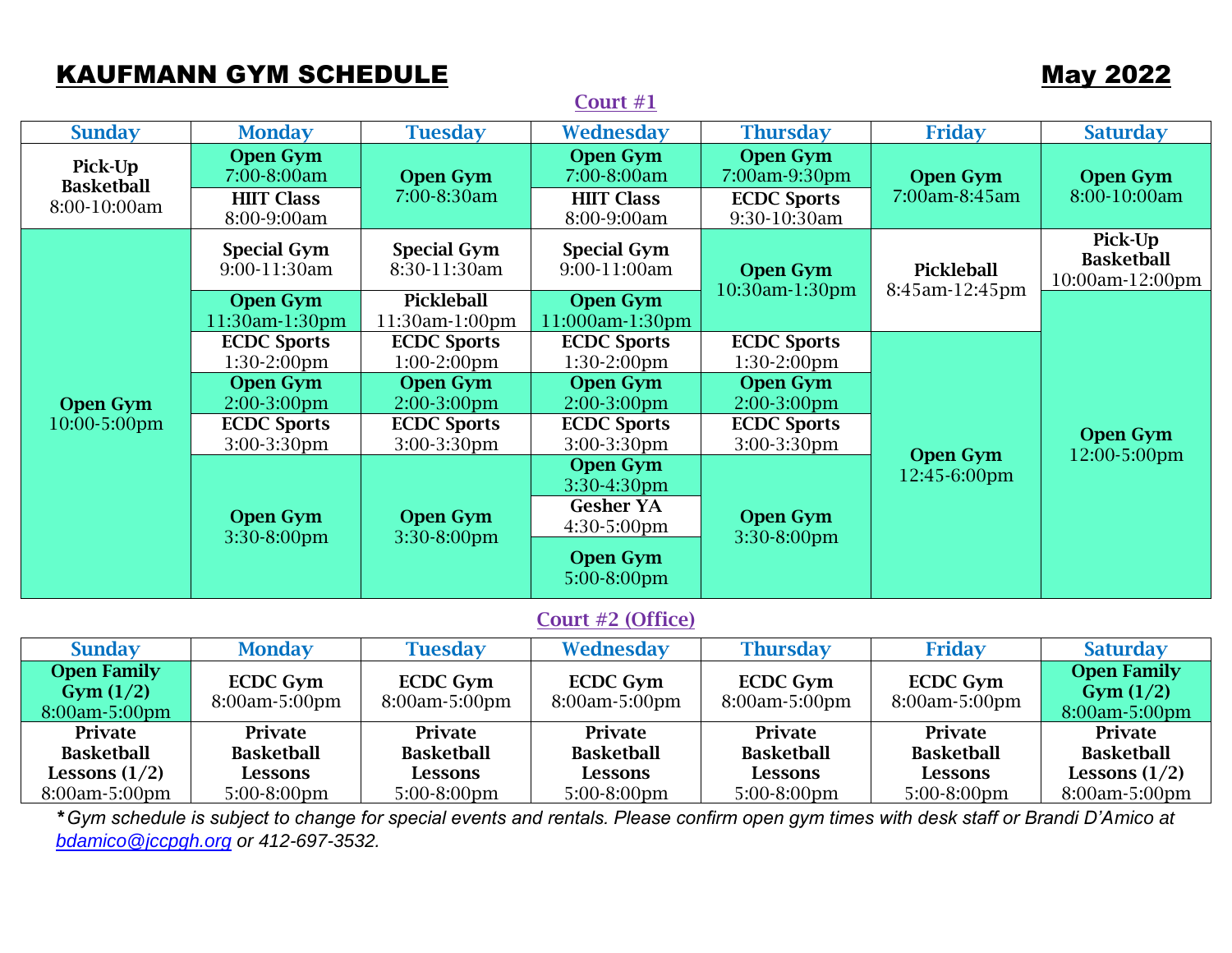# KAUFMANN GYM SCHEDULE **May 2022**

|                                                                  |                                                                    |                                                               | Court #1                                                                                            |                                                                        |                                                               |                                                                  |  |  |  |
|------------------------------------------------------------------|--------------------------------------------------------------------|---------------------------------------------------------------|-----------------------------------------------------------------------------------------------------|------------------------------------------------------------------------|---------------------------------------------------------------|------------------------------------------------------------------|--|--|--|
| <b>Sunday</b>                                                    | <b>Monday</b>                                                      | <b>Tuesday</b>                                                | Wednesday                                                                                           | <b>Thursday</b>                                                        | <b>Friday</b>                                                 | <b>Saturday</b>                                                  |  |  |  |
| Pick-Up<br><b>Basketball</b><br>8:00-10:00am                     | <b>Open Gym</b><br>7:00-8:00am<br><b>HIIT Class</b><br>8:00-9:00am | <b>Open Gym</b><br>7:00-8:30am                                | <b>Open Gym</b><br>7:00-8:00am<br><b>HIIT Class</b><br>8:00-9:00am                                  | <b>Open Gym</b><br>7:00am-9:30pm<br><b>ECDC Sports</b><br>9:30-10:30am | <b>Open Gym</b><br>7:00am-8:45am                              | <b>Open Gym</b><br>8:00-10:00am                                  |  |  |  |
| <b>Open Gym</b><br>10:00-5:00pm                                  | <b>Special Gym</b><br>9:00-11:30am                                 | <b>Special Gym</b><br>8:30-11:30am                            | <b>Special Gym</b><br>9:00-11:00am                                                                  | <b>Open Gym</b><br>10:30am-1:30pm                                      | <b>Pickleball</b><br>8:45am-12:45pm                           | Pick-Up<br><b>Basketball</b><br>10:00am-12:00pm                  |  |  |  |
|                                                                  | <b>Open Gym</b><br>11:30am-1:30pm                                  | Pickleball<br>11:30am-1:00pm                                  | <b>Open Gym</b><br>11:000am-1:30pm                                                                  |                                                                        |                                                               | <b>Open Gym</b><br>12:00-5:00pm                                  |  |  |  |
|                                                                  | <b>ECDC Sports</b><br>$1:30-2:00$ pm                               | <b>ECDC</b> Sports<br>$1:00-2:00$ pm                          | <b>ECDC Sports</b><br>$1:30-2:00$ pm                                                                | <b>ECDC Sports</b><br>1:30-2:00pm                                      | <b>Open Gym</b><br>12:45-6:00pm                               |                                                                  |  |  |  |
|                                                                  | <b>Open Gym</b><br>2:00-3:00pm                                     | <b>Open Gym</b><br>2:00-3:00pm                                | <b>Open Gym</b><br>2:00-3:00pm                                                                      | <b>Open Gym</b><br>2:00-3:00pm                                         |                                                               |                                                                  |  |  |  |
|                                                                  | <b>ECDC Sports</b><br>3:00-3:30pm                                  | <b>ECDC Sports</b><br>3:00-3:30pm                             | <b>ECDC Sports</b><br>3:00-3:30pm                                                                   | <b>ECDC Sports</b><br>3:00-3:30pm                                      |                                                               |                                                                  |  |  |  |
|                                                                  | <b>Open Gym</b><br>3:30-8:00pm                                     | <b>Open Gym</b><br>3:30-8:00pm                                | <b>Open Gym</b><br>3:30-4:30pm<br><b>Gesher YA</b><br>4:30-5:00pm<br><b>Open Gym</b><br>5:00-8:00pm | <b>Open Gym</b><br>3:30-8:00pm                                         |                                                               |                                                                  |  |  |  |
| Court #2 (Office)                                                |                                                                    |                                                               |                                                                                                     |                                                                        |                                                               |                                                                  |  |  |  |
| <b>Sunday</b>                                                    | <b>Monday</b>                                                      | <b>Tuesday</b>                                                | Wednesday                                                                                           | <b>Thursday</b>                                                        | <b>Friday</b>                                                 | <b>Saturday</b>                                                  |  |  |  |
| <b>Open Family</b><br>Gym(1/2)<br>8:00am-5:00pm                  | <b>ECDC Gym</b><br>8:00am-5:00pm                                   | <b>ECDC Gym</b><br>8:00am-5:00pm                              | <b>ECDC Gym</b><br>8:00am-5:00pm                                                                    | <b>ECDC Gym</b><br>8:00am-5:00pm                                       | <b>ECDC Gym</b><br>8:00am-5:00pm                              | <b>Open Family</b><br>Gym(1/2)<br>8:00am-5:00pm                  |  |  |  |
| Private<br><b>Basketball</b><br>Lessons $(1/2)$<br>8:00am-5:00pm | Private<br><b>Basketball</b><br><b>Lessons</b><br>5:00-8:00pm      | Private<br><b>Basketball</b><br><b>Lessons</b><br>5:00-8:00pm | <b>Private</b><br><b>Basketball</b><br>Lessons<br>5:00-8:00pm                                       | Private<br><b>Basketball</b><br><b>Lessons</b><br>5:00-8:00pm          | Private<br><b>Basketball</b><br><b>Lessons</b><br>5:00-8:00pm | Private<br><b>Basketball</b><br>Lessons $(1/2)$<br>8:00am-5:00pm |  |  |  |

\**Gym schedule is subject to change for special events and rentals. Please confirm open gym times with desk staff or Brandi D'Amico at [bdamico@jccpgh.org](mailto:bdamico@jccpgh.org) or 412-697-3532.*